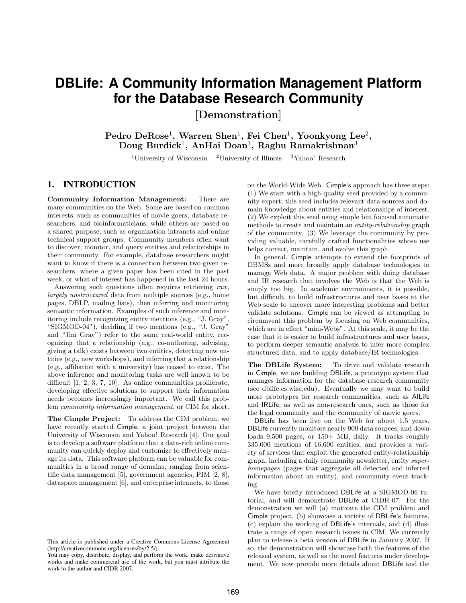# **DBLife: A Community Information Management Platform for the Database Research Community**

[Demonstration]

Pedro DeRose<sup>1</sup>, Warren Shen<sup>1</sup>, Fei Chen<sup>1</sup>, Yoonkyong Lee<sup>2</sup>, Doug Burdick<sup>1</sup>, AnHai Doan<sup>1</sup>, Raghu Ramakrishnan<sup>3</sup>

<sup>1</sup>University of Wisconsin  $\frac{2 \text{University of Illinois}}{1 \text{Hinois}}$  <sup>3</sup>Yahoo! Research

# 1. INTRODUCTION

Community Information Management: There are many communities on the Web. Some are based on common interests, such as communities of movie goers, database researchers, and bioinformaticians, while others are based on a shared purpose, such as organization intranets and online technical support groups. Community members often want to discover, monitor, and query entities and relationships in their community. For example, database researchers might want to know if there is a connection between two given researchers, where a given paper has been cited in the past week, or what of interest has happened in the last 24 hours.

Answering such questions often requires retrieving *raw, largely unstructured* data from multiple sources (e.g., home pages, DBLP, mailing lists), then inferring and monitoring semantic information. Examples of such inference and monitoring include recognizing entity mentions (e.g., "J. Gray", "SIGMOD-04"), deciding if two mentions (e.g., "J. Gray" and "Jim Gray") refer to the same real-world entity, recognizing that a relationship (e.g., co-authoring, advising, giving a talk) exists between two entities, detecting new entities (e.g., new workshops), and inferring that a relationship (e.g., affiliation with a university) has ceased to exist. The above inference and monitoring tasks are well known to be difficult [1, 2, 3, 7, 10]. As online communities proliferate, developing effective solutions to support their information needs becomes increasingly important. We call this problem *community information management*, or CIM for short.

The Cimple Project: To address the CIM problem, we have recently started Cimple, a joint project between the University of Wisconsin and Yahoo! Research [4]. Our goal is to develop a software platform that a data-rich online community can quickly deploy and customize to effectively manage its data. This software platform can be valuable for communities in a broad range of domains, ranging from scientific data management [5], government agencies, PIM [2, 8], dataspace management [6], and enterprise intranets, to those on the World-Wide Web. Cimple's approach has three steps: (1) We start with a high-quality seed provided by a community expert; this seed includes relevant data sources and domain knowledge about entities and relationships of interest. (2) We exploit this seed using simple but focused automatic methods to create and maintain an *entity-relationship* graph of the community. (3) We leverage the community by providing valuable, carefully crafted functionalities whose use helps correct, maintain, and evolve this graph.

In general, Cimple attempts to extend the footprints of DBMSs and more broadly apply database technologies to manage Web data. A major problem with doing database and IR research that involves the Web is that the Web is simply too big. In academic environments, it is possible, but difficult, to build infrastructures and user bases at the Web scale to uncover more interesting problems and better validate solutions. Cimple can be viewed as attempting to circumvent this problem by focusing on Web communities, which are in effect "mini-Webs". At this scale, it may be the case that it is easier to build infrastructures and user bases, to perform deeper semantic analysis to infer more complex structured data, and to apply database/IR technologies.

The DBLife System: To drive and validate research in Cimple, we are building DBLife, a prototype system that manages information for the database research community (see dblife.cs.wisc.edu). Eventually we may want to build more prototypes for research communities, such as AILife and IRLife, as well as non-research ones, such as those for the legal community and the community of movie goers.

DBLife has been live on the Web for about 1.5 years. DBLife currently monitors nearly 900 data sources, and downloads 9,500 pages, or 150+ MB, daily. It tracks roughly 335,000 mentions of 16,600 entities, and provides a variety of services that exploit the generated entity-relationship graph, including a daily community newsletter, entity *superhomepages* (pages that aggregate all detected and inferred information about an entity), and community event tracking.

We have briefly introduced DBLife at a SIGMOD-06 tutorial, and will demonstrate DBLife at CIDR-07. For the demonstration we will (a) motivate the CIM problem and Cimple project, (b) showcase a variety of DBLife's features, (c) explain the working of DBLife's internals, and (d) illustrate a range of open research issues in CIM. We currently plan to release a beta version of DBLife in January 2007. If so, the demonstration will showcase both the features of the released system, as well as the novel features under development. We now provide more details about DBLife and the

This article is published under a Creative Commons License Agreement (http://creativecommons.org/licenses/by/2.5/).

You may copy, distribute, display, and perform the work, make derivative works and make commercial use of the work, but you must attribute the work to the author and CIDR 2007.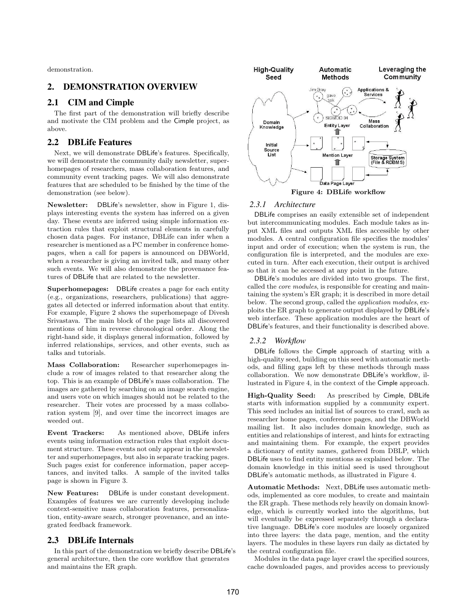demonstration.

## 2. DEMONSTRATION OVERVIEW

## 2.1 CIM and Cimple

The first part of the demonstration will briefly describe and motivate the CIM problem and the Cimple project, as above.

## 2.2 DBLife Features

Next, we will demonstrate DBLife's features. Specifically, we will demonstrate the community daily newsletter, superhomepages of researchers, mass collaboration features, and community event tracking pages. We will also demonstrate features that are scheduled to be finished by the time of the demonstration (see below).

Newsletter: DBLife's newsletter, show in Figure 1, displays interesting events the system has inferred on a given day. These events are inferred using simple information extraction rules that exploit structural elements in carefully chosen data pages. For instance, DBLife can infer when a researcher is mentioned as a PC member in conference homepages, when a call for papers is announced on DBWorld, when a researcher is giving an invited talk, and many other such events. We will also demonstrate the provenance features of DBLife that are related to the newsletter.

Superhomepages: DBLife creates a page for each entity (e.g., organizations, researchers, publications) that aggregates all detected or inferred information about that entity. For example, Figure 2 shows the superhomepage of Divesh Srivastava. The main block of the page lists all discovered mentions of him in reverse chronological order. Along the right-hand side, it displays general information, followed by inferred relationships, services, and other events, such as talks and tutorials.

Mass Collaboration: Researcher superhomepages include a row of images related to that researcher along the top. This is an example of DBLife's mass collaboration. The images are gathered by searching on an image search engine, and users vote on which images should not be related to the researcher. Their votes are processed by a mass collaboration system [9], and over time the incorrect images are weeded out.

Event Trackers: As mentioned above, DBLife infers events using information extraction rules that exploit document structure. These events not only appear in the newsletter and superhomepages, but also in separate tracking pages. Such pages exist for conference information, paper acceptances, and invited talks. A sample of the invited talks page is shown in Figure 3.

New Features: DBLife is under constant development. Examples of features we are currently developing include context-sensitive mass collaboration features, personalization, entity-aware search, stronger provenance, and an integrated feedback framework.

## 2.3 DBLife Internals

In this part of the demonstration we briefly describe DBLife's general architecture, then the core workflow that generates and maintains the ER graph.



#### *2.3.1 Architecture*

DBLife comprises an easily extensible set of independent but intercommunicating modules. Each module takes as input XML files and outputs XML files accessible by other modules. A central configuration file specifies the modules' input and order of execution; when the system is run, the configuration file is interpreted, and the modules are executed in turn. After each execution, their output is archived so that it can be accessed at any point in the future.

DBLife's modules are divided into two groups. The first, called the *core modules*, is responsible for creating and maintaining the system's ER graph; it is described in more detail below. The second group, called the *application modules*, exploits the ER graph to generate output displayed by DBLife's web interface. These application modules are the heart of DBLife's features, and their functionality is described above.

#### *2.3.2 Workflow*

DBLife follows the Cimple approach of starting with a high-quality seed, building on this seed with automatic methods, and filling gaps left by these methods through mass collaboration. We now demonstrate DBLife's workflow, illustrated in Figure 4, in the context of the Cimple approach.

High-Quality Seed: As prescribed by Cimple, DBLife starts with information supplied by a community expert. This seed includes an initial list of sources to crawl, such as researcher home pages, conference pages, and the DBWorld mailing list. It also includes domain knowledge, such as entities and relationships of interest, and hints for extracting and maintaining them. For example, the expert provides a dictionary of entity names, gathered from DBLP, which DBLife uses to find entity mentions as explained below. The domain knowledge in this initial seed is used throughout DBLife's automatic methods, as illustrated in Figure 4.

Automatic Methods: Next, DBLife uses automatic methods, implemented as core modules, to create and maintain the ER graph. These methods rely heavily on domain knowledge, which is currently worked into the algorithms, but will eventually be expressed separately through a declarative language. DBLife's core modules are loosely organized into three layers: the data page, mention, and the entity layers. The modules in these layers run daily as dictated by the central configuration file.

Modules in the data page layer crawl the specified sources, cache downloaded pages, and provides access to previously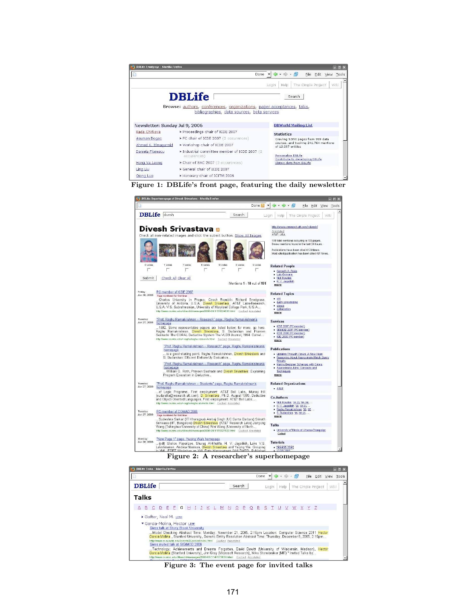| <b>DBLife Frontpage - Mozilla Firefox</b> |                                                                        | EX                                                           |
|-------------------------------------------|------------------------------------------------------------------------|--------------------------------------------------------------|
|                                           | Done                                                                   | • 中 · 图 · Eile Edit View<br>Tools                            |
|                                           |                                                                        | The Cimple Project<br>Help<br><b>Will</b><br>Login           |
|                                           | <b>DBLife</b>                                                          | Search                                                       |
|                                           | Browse: authors, conferences, organizations, paper acceptances, talks, |                                                              |
|                                           | bibliographies, data sources, beta services                            |                                                              |
| Newsletter: Sunday Jul 9, 2006            |                                                                        |                                                              |
|                                           |                                                                        |                                                              |
|                                           |                                                                        | <b>DBWorld Mailing List</b>                                  |
|                                           | > Proceedings chair of ICDE 2007                                       | <b>Statistics</b>                                            |
| Rada Chirkova<br>Asuman Dogac             | > PC chair of ICDE 2007 (2 occurences)                                 | Cravling 9,590 pages from 999 data                           |
| Ahmed K. Elmagarmid                       | > Workshop chair of ICDE 2007                                          | sources, and tracking 241,764 mentions<br>of 12.237 entities |
| Daniela Florescu                          | > Industrial committee member of ICDE 2007 (2<br>occurences)           | Personalize DBLife                                           |
| Hong Va Leong                             | > Chair of SAC 2007 (2 occurences)                                     | Contribute to developing DBLife<br>Obtain data from DBLife   |
| Ling Liu                                  | Seneral chair of ICDE 2007                                             |                                                              |





Figure 2: A researcher's superhomepage

| <b>DBLife Talks - Mozilla Firefox</b><br>$ \vert$ $\vert$ $\vert$                                                                                                                                                                                                                               |                                                                      |                                                                 |
|-------------------------------------------------------------------------------------------------------------------------------------------------------------------------------------------------------------------------------------------------------------------------------------------------|----------------------------------------------------------------------|-----------------------------------------------------------------|
|                                                                                                                                                                                                                                                                                                 | Done $\blacktriangledown$                                            | $\triangle$ · $\triangle$ · $\triangle$<br>File Edit View Tools |
| <b>DBLife</b>                                                                                                                                                                                                                                                                                   | Search                                                               | Wiki<br>Login<br>The Cimple Project<br>Help                     |
| <b>Talks</b>                                                                                                                                                                                                                                                                                    |                                                                      |                                                                 |
| $E$ $F$ $G$<br>H I<br>$\mathbf{J}$ .<br>B<br>$\mathsf{C}$<br>Ð                                                                                                                                                                                                                                  | K L M N O P Q R S T U                                                | W X Y Z<br>V                                                    |
| Gafter, Neal M, LINK                                                                                                                                                                                                                                                                            |                                                                      |                                                                 |
| Garcia-Molina, Hector LINK<br>Gives talk at Stony Brook University<br>Model Checking Abstract Time: Monday, November 21, 2005, 2:15pm Location: Computer Science 2311 Hector<br>Garcia-Molina, Stanford University, Generic Entity Resolution Abstract Time: Thursday, December 8, 2005, 2:15pm | http://www.cs.sunysb.edu/events/DLseries/index.html Cached Annotated |                                                                 |

Figure 3: The event page for invited talks